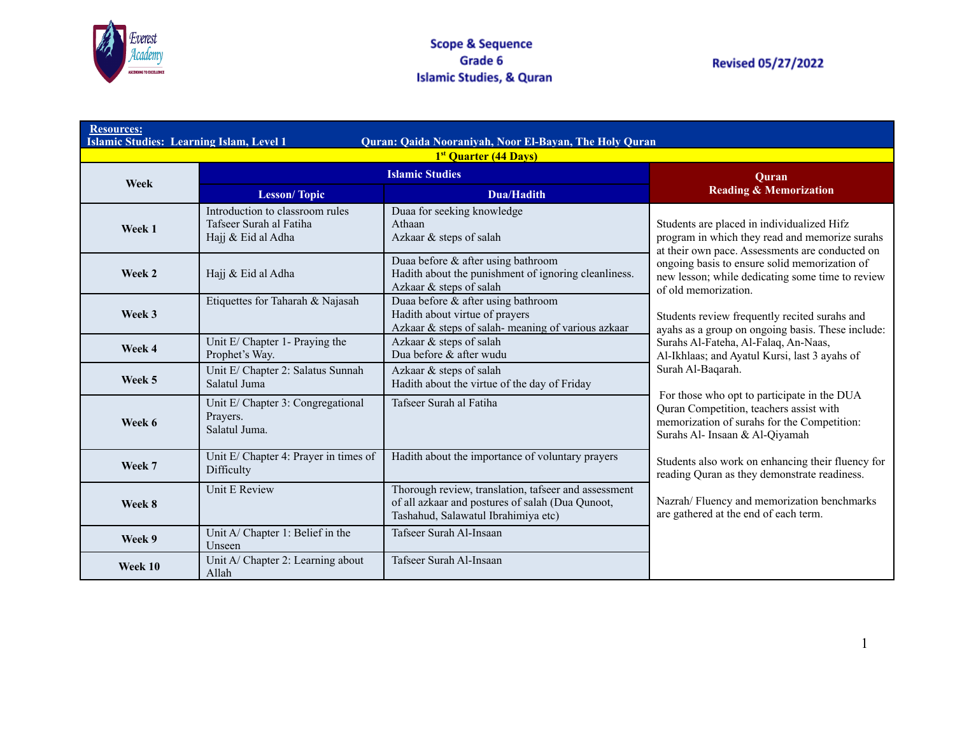

| <b>Resources:</b><br><b>Islamic Studies: Learning Islam, Level 1</b><br>Quran: Qaida Nooraniyah, Noor El-Bayan, The Holy Quran |                                                                                  |                                                                                                                                                 |                                                                                                                                                                         |
|--------------------------------------------------------------------------------------------------------------------------------|----------------------------------------------------------------------------------|-------------------------------------------------------------------------------------------------------------------------------------------------|-------------------------------------------------------------------------------------------------------------------------------------------------------------------------|
|                                                                                                                                |                                                                                  | <sup>1st</sup> Quarter (44 Days)                                                                                                                |                                                                                                                                                                         |
| Week                                                                                                                           | <b>Islamic Studies</b>                                                           |                                                                                                                                                 | Ouran                                                                                                                                                                   |
|                                                                                                                                | <b>Lesson/Topic</b>                                                              | <b>Dua/Hadith</b>                                                                                                                               | <b>Reading &amp; Memorization</b>                                                                                                                                       |
| Week 1                                                                                                                         | Introduction to classroom rules<br>Tafseer Surah al Fatiha<br>Hajj & Eid al Adha | Duaa for seeking knowledge<br>Athaan<br>Azkaar & steps of salah                                                                                 | Students are placed in individualized Hifz<br>program in which they read and memorize surahs<br>at their own pace. Assessments are conducted on                         |
| Week 2                                                                                                                         | Hajj & Eid al Adha                                                               | Duaa before & after using bathroom<br>Hadith about the punishment of ignoring cleanliness.<br>Azkaar & steps of salah                           | ongoing basis to ensure solid memorization of<br>new lesson; while dedicating some time to review<br>of old memorization.                                               |
| Week 3                                                                                                                         | Etiquettes for Taharah & Najasah                                                 | Duaa before & after using bathroom<br>Hadith about virtue of prayers<br>Azkaar & steps of salah-meaning of various azkaar                       | Students review frequently recited surahs and<br>ayahs as a group on ongoing basis. These include:                                                                      |
| Week 4                                                                                                                         | Unit E/ Chapter 1- Praying the<br>Prophet's Way.                                 | Azkaar & steps of salah<br>Dua before & after wudu                                                                                              | Surahs Al-Fateha, Al-Falaq, An-Naas,<br>Al-Ikhlaas; and Ayatul Kursi, last 3 ayahs of                                                                                   |
| Week 5                                                                                                                         | Unit E/ Chapter 2: Salatus Sunnah<br>Salatul Juma                                | Azkaar & steps of salah<br>Hadith about the virtue of the day of Friday                                                                         | Surah Al-Baqarah.                                                                                                                                                       |
| Week 6                                                                                                                         | Unit E/ Chapter 3: Congregational<br>Prayers.<br>Salatul Juma.                   | Tafseer Surah al Fatiha                                                                                                                         | For those who opt to participate in the DUA<br>Quran Competition, teachers assist with<br>memorization of surahs for the Competition:<br>Surahs Al- Insaan & Al-Qiyamah |
| Week 7                                                                                                                         | Unit E/ Chapter 4: Prayer in times of<br>Difficulty                              | Hadith about the importance of voluntary prayers                                                                                                | Students also work on enhancing their fluency for<br>reading Quran as they demonstrate readiness.                                                                       |
| Week 8                                                                                                                         | Unit E Review                                                                    | Thorough review, translation, tafseer and assessment<br>of all azkaar and postures of salah (Dua Qunoot,<br>Tashahud, Salawatul Ibrahimiya etc) | Nazrah/Fluency and memorization benchmarks<br>are gathered at the end of each term.                                                                                     |
| Week 9                                                                                                                         | Unit A/ Chapter 1: Belief in the<br>Unseen                                       | Tafseer Surah Al-Insaan                                                                                                                         |                                                                                                                                                                         |
| Week 10                                                                                                                        | Unit A/ Chapter 2: Learning about<br>Allah                                       | Tafseer Surah Al-Insaan                                                                                                                         |                                                                                                                                                                         |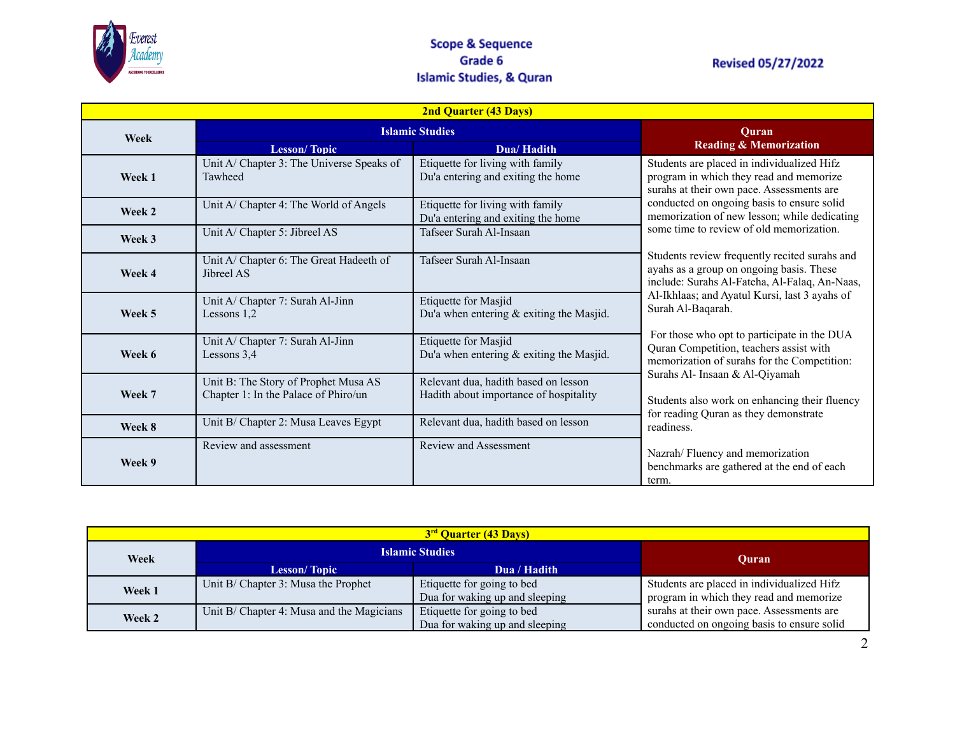

### **Scope & Sequence** Grade 6 **Islamic Studies, & Quran**

## **Revised 05/27/2022**

| <b>2nd Quarter (43 Days)</b> |                                                                              |                                                                                |                                                                                                                                                                                                                                                                                                                                                                                                                                                                                                     |
|------------------------------|------------------------------------------------------------------------------|--------------------------------------------------------------------------------|-----------------------------------------------------------------------------------------------------------------------------------------------------------------------------------------------------------------------------------------------------------------------------------------------------------------------------------------------------------------------------------------------------------------------------------------------------------------------------------------------------|
| Week                         | <b>Islamic Studies</b>                                                       |                                                                                | Ouran                                                                                                                                                                                                                                                                                                                                                                                                                                                                                               |
|                              | <b>Lesson/Topic</b>                                                          | Dua/Hadith                                                                     | <b>Reading &amp; Memorization</b>                                                                                                                                                                                                                                                                                                                                                                                                                                                                   |
| Week 1                       | Unit A/ Chapter 3: The Universe Speaks of<br>Tawheed                         | Etiquette for living with family<br>Du'a entering and exiting the home         | Students are placed in individualized Hifz<br>program in which they read and memorize<br>surahs at their own pace. Assessments are                                                                                                                                                                                                                                                                                                                                                                  |
| Week 2                       | Unit A/ Chapter 4: The World of Angels                                       | Etiquette for living with family<br>Du'a entering and exiting the home         | conducted on ongoing basis to ensure solid<br>memorization of new lesson; while dedicating<br>some time to review of old memorization.<br>Students review frequently recited surahs and<br>ayahs as a group on ongoing basis. These<br>include: Surahs Al-Fateha, Al-Falaq, An-Naas,<br>Al-Ikhlaas; and Ayatul Kursi, last 3 ayahs of<br>Surah Al-Baqarah.<br>For those who opt to participate in the DUA<br>Quran Competition, teachers assist with<br>memorization of surahs for the Competition: |
| Week 3                       | Unit A/ Chapter 5: Jibreel AS                                                | Tafseer Surah Al-Insaan                                                        |                                                                                                                                                                                                                                                                                                                                                                                                                                                                                                     |
| Week 4                       | Unit A/ Chapter 6: The Great Hadeeth of<br>Jibreel AS                        | Tafseer Surah Al-Insaan                                                        |                                                                                                                                                                                                                                                                                                                                                                                                                                                                                                     |
| Week 5                       | Unit A/ Chapter 7: Surah Al-Jinn<br>Lessons 1,2                              | Etiquette for Masjid<br>Du'a when entering $&$ exiting the Masjid.             |                                                                                                                                                                                                                                                                                                                                                                                                                                                                                                     |
| Week 6                       | Unit A/ Chapter 7: Surah Al-Jinn<br>Lessons 3,4                              | <b>Etiquette for Masjid</b><br>Du'a when entering $&$ exiting the Masjid.      |                                                                                                                                                                                                                                                                                                                                                                                                                                                                                                     |
| Week 7                       | Unit B: The Story of Prophet Musa AS<br>Chapter 1: In the Palace of Phiro/un | Relevant dua, hadith based on lesson<br>Hadith about importance of hospitality | Surahs Al- Insaan & Al-Qiyamah<br>Students also work on enhancing their fluency<br>for reading Quran as they demonstrate                                                                                                                                                                                                                                                                                                                                                                            |
| Week 8                       | Unit B/ Chapter 2: Musa Leaves Egypt                                         | Relevant dua, hadith based on lesson                                           | readiness.                                                                                                                                                                                                                                                                                                                                                                                                                                                                                          |
| Week 9                       | Review and assessment                                                        | <b>Review and Assessment</b>                                                   | Nazrah/Fluency and memorization<br>benchmarks are gathered at the end of each<br>term.                                                                                                                                                                                                                                                                                                                                                                                                              |

| 3 <sup>rd</sup> Quarter (43 Days) |                                           |                                                              |                                                                                         |
|-----------------------------------|-------------------------------------------|--------------------------------------------------------------|-----------------------------------------------------------------------------------------|
| Week                              | <b>Islamic Studies</b>                    |                                                              | Ouran                                                                                   |
|                                   | <b>Lesson/Topic</b>                       | Dua / Hadith                                                 |                                                                                         |
| Week 1                            | Unit B/ Chapter 3: Musa the Prophet       | Etiquette for going to bed<br>Dua for waking up and sleeping | Students are placed in individualized Hifz<br>program in which they read and memorize   |
| Week 2                            | Unit B/ Chapter 4: Musa and the Magicians | Etiquette for going to bed<br>Dua for waking up and sleeping | surahs at their own pace. Assessments are<br>conducted on ongoing basis to ensure solid |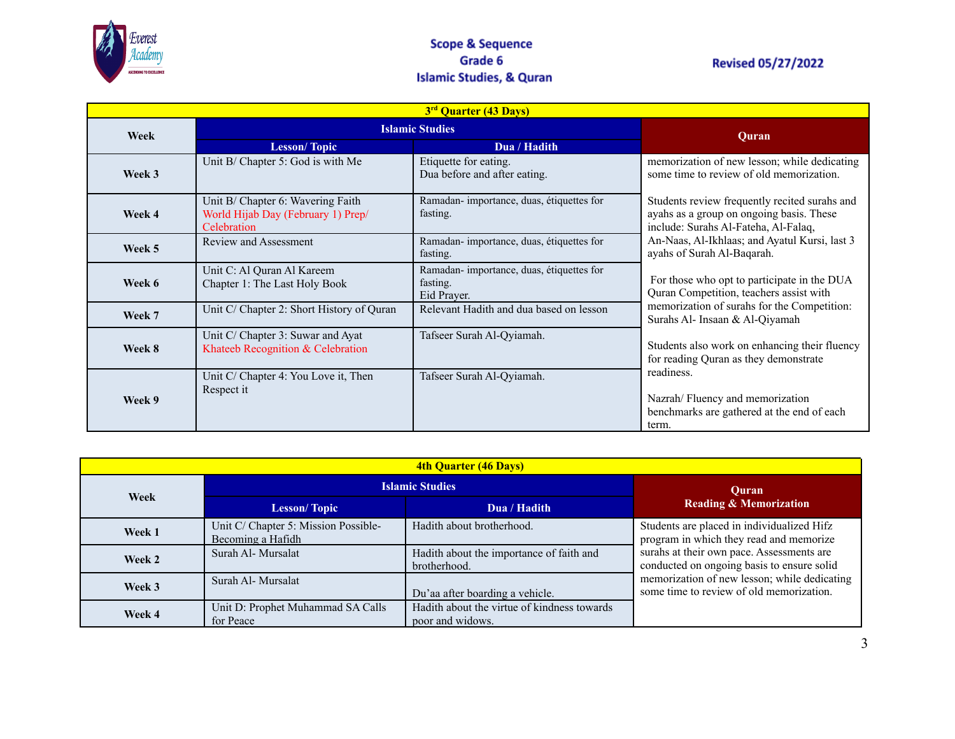

### **Scope & Sequence** Grade 6 **Islamic Studies, & Quran**

# **Revised 05/27/2022**

|        | 3 <sup>rd</sup> Quarter (43 Days)                                                      |                                                                     |                                                                                                                                   |  |  |
|--------|----------------------------------------------------------------------------------------|---------------------------------------------------------------------|-----------------------------------------------------------------------------------------------------------------------------------|--|--|
| Week   |                                                                                        | <b>Islamic Studies</b>                                              |                                                                                                                                   |  |  |
|        | <b>Lesson/Topic</b>                                                                    | Dua / Hadith                                                        | <b>Quran</b>                                                                                                                      |  |  |
| Week 3 | Unit B/ Chapter 5: God is with Me                                                      | Etiquette for eating.<br>Dua before and after eating.               | memorization of new lesson; while dedicating<br>some time to review of old memorization.                                          |  |  |
| Week 4 | Unit B/ Chapter 6: Wavering Faith<br>World Hijab Day (February 1) Prep/<br>Celebration | Ramadan-importance, duas, étiquettes for<br>fasting.                | Students review frequently recited surahs and<br>ayahs as a group on ongoing basis. These<br>include: Surahs Al-Fateha, Al-Falaq, |  |  |
| Week 5 | Review and Assessment                                                                  | Ramadan-importance, duas, étiquettes for<br>fasting.                | An-Naas, Al-Ikhlaas; and Ayatul Kursi, last 3<br>ayahs of Surah Al-Baqarah.                                                       |  |  |
| Week 6 | Unit C: Al Quran Al Kareem<br>Chapter 1: The Last Holy Book                            | Ramadan-importance, duas, étiquettes for<br>fasting.<br>Eid Prayer. | For those who opt to participate in the DUA<br>Quran Competition, teachers assist with                                            |  |  |
| Week 7 | Unit C/ Chapter 2: Short History of Quran                                              | Relevant Hadith and dua based on lesson                             | memorization of surahs for the Competition:<br>Surahs Al- Insaan & Al-Qiyamah                                                     |  |  |
| Week 8 | Unit C/ Chapter 3: Suwar and Ayat<br>Khateeb Recognition & Celebration                 | Tafseer Surah Al-Qyiamah.                                           | Students also work on enhancing their fluency<br>for reading Quran as they demonstrate                                            |  |  |
| Week 9 | Unit C/ Chapter 4: You Love it, Then<br>Respect it                                     | Tafseer Surah Al-Qyiamah.                                           | readiness.<br>Nazrah/Fluency and memorization<br>benchmarks are gathered at the end of each<br>term.                              |  |  |

| <b>4th Quarter (46 Days)</b> |                                                           |                                                                 |                                                                                          |
|------------------------------|-----------------------------------------------------------|-----------------------------------------------------------------|------------------------------------------------------------------------------------------|
|                              | <b>Islamic Studies</b>                                    |                                                                 | Ouran                                                                                    |
| Week                         | <b>Lesson/Topic</b>                                       | Dua / Hadith                                                    | <b>Reading &amp; Memorization</b>                                                        |
| Week 1                       | Unit C/ Chapter 5: Mission Possible-<br>Becoming a Hafidh | Hadith about brotherhood.                                       | Students are placed in individualized Hifz<br>program in which they read and memorize    |
| Week 2                       | Surah Al- Mursalat                                        | Hadith about the importance of faith and<br>brotherhood.        | surahs at their own pace. Assessments are<br>conducted on ongoing basis to ensure solid  |
| Week 3                       | Surah Al- Mursalat                                        | Du'aa after boarding a vehicle.                                 | memorization of new lesson; while dedicating<br>some time to review of old memorization. |
| Week 4                       | Unit D: Prophet Muhammad SA Calls<br>for Peace            | Hadith about the virtue of kindness towards<br>poor and widows. |                                                                                          |